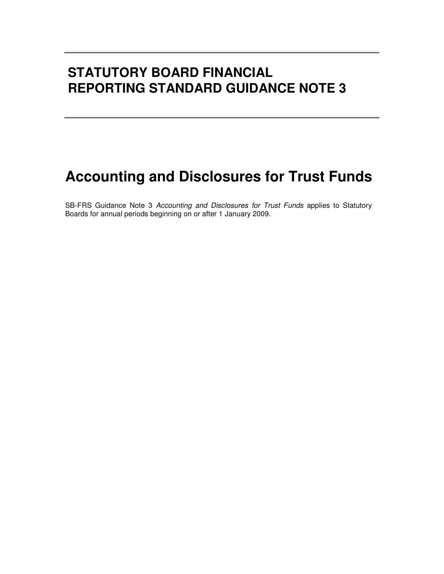# **STATUTORY BOARD FINANCIAL REPORTING STANDARD GUIDANCE NOTE 3**

# **Accounting and Disclosures for Trust Funds**

SB-FRS Guidance Note 3 Accounting and Disclosures for Trust Funds applies to Statutory Boards for annual periods beginning on or after 1 January 2009.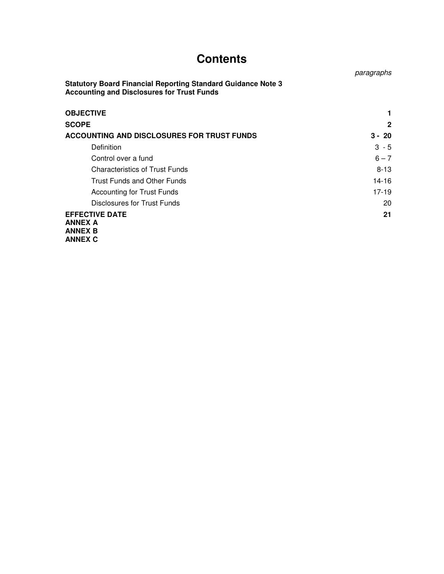# **Contents**

**Statutory Board Financial Reporting Standard Guidance Note 3 Accounting and Disclosures for Trust Funds OBJECTIVE** the contract of the contract of the contract of the contract of the contract of the contract of the contract of the contract of the contract of the contract of the contract of the contract of the contract of th **SCOPE 2 ACCOUNTING AND DISCLOSURES FOR TRUST FUNDS 3 - 20**  Definition 3 - 5 Control over a fund  $6 - 7$ Characteristics of Trust Funds 8-13 Trust Funds and Other Funds 14-16 Accounting for Trust Funds 17-19

Disclosures for Trust Funds 20 **EFFECTIVE DATE** 21 **ANNEX A ANNEX B ANNEX C**

paragraphs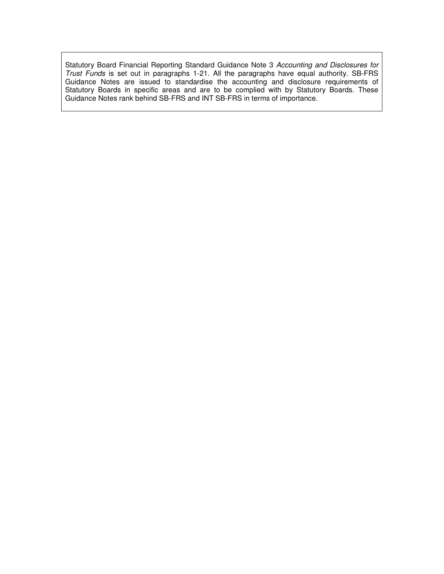Statutory Board Financial Reporting Standard Guidance Note 3 Accounting and Disclosures for Trust Funds is set out in paragraphs 1-21. All the paragraphs have equal authority. SB-FRS Guidance Notes are issued to standardise the accounting and disclosure requirements of Statutory Boards in specific areas and are to be complied with by Statutory Boards. These Guidance Notes rank behind SB-FRS and INT SB-FRS in terms of importance.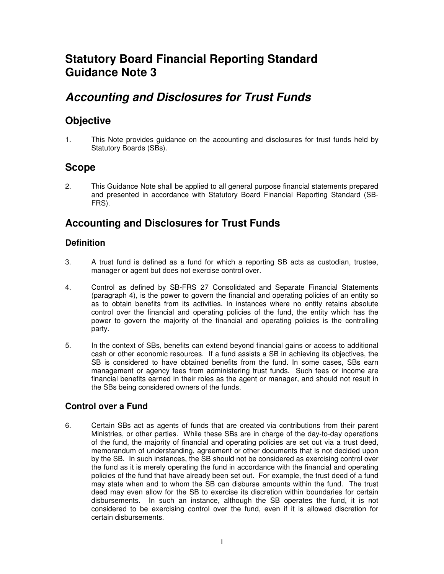# **Statutory Board Financial Reporting Standard Guidance Note 3**

# **Accounting and Disclosures for Trust Funds**

### **Objective**

1. This Note provides guidance on the accounting and disclosures for trust funds held by Statutory Boards (SBs).

## **Scope**

2. This Guidance Note shall be applied to all general purpose financial statements prepared and presented in accordance with Statutory Board Financial Reporting Standard (SB-FRS).

### **Accounting and Disclosures for Trust Funds**

### **Definition**

- 3. A trust fund is defined as a fund for which a reporting SB acts as custodian, trustee, manager or agent but does not exercise control over.
- 4. Control as defined by SB-FRS 27 Consolidated and Separate Financial Statements (paragraph 4), is the power to govern the financial and operating policies of an entity so as to obtain benefits from its activities. In instances where no entity retains absolute control over the financial and operating policies of the fund, the entity which has the power to govern the majority of the financial and operating policies is the controlling party.
- 5. In the context of SBs, benefits can extend beyond financial gains or access to additional cash or other economic resources. If a fund assists a SB in achieving its objectives, the SB is considered to have obtained benefits from the fund. In some cases, SBs earn management or agency fees from administering trust funds. Such fees or income are financial benefits earned in their roles as the agent or manager, and should not result in the SBs being considered owners of the funds.

### **Control over a Fund**

6. Certain SBs act as agents of funds that are created via contributions from their parent Ministries, or other parties. While these SBs are in charge of the day-to-day operations of the fund, the majority of financial and operating policies are set out via a trust deed, memorandum of understanding, agreement or other documents that is not decided upon by the SB. In such instances, the SB should not be considered as exercising control over the fund as it is merely operating the fund in accordance with the financial and operating policies of the fund that have already been set out. For example, the trust deed of a fund may state when and to whom the SB can disburse amounts within the fund. The trust deed may even allow for the SB to exercise its discretion within boundaries for certain disbursements. In such an instance, although the SB operates the fund, it is not considered to be exercising control over the fund, even if it is allowed discretion for certain disbursements.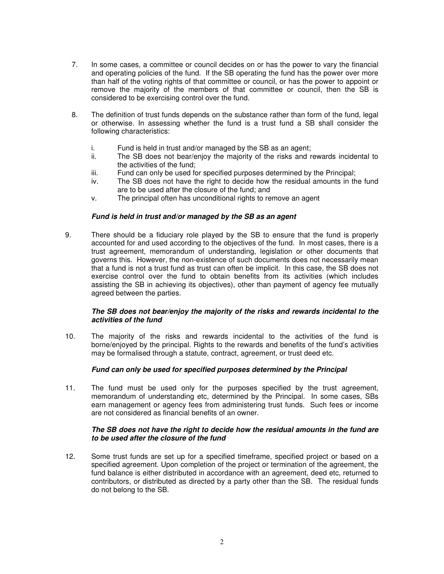- 7. In some cases, a committee or council decides on or has the power to vary the financial and operating policies of the fund. If the SB operating the fund has the power over more than half of the voting rights of that committee or council, or has the power to appoint or remove the majority of the members of that committee or council, then the SB is considered to be exercising control over the fund.
- 8. The definition of trust funds depends on the substance rather than form of the fund, legal or otherwise. In assessing whether the fund is a trust fund a SB shall consider the following characteristics:
	- i. Fund is held in trust and/or managed by the SB as an agent;<br>ii The SB does not bear/eniov the majority of the risks and r
	- The SB does not bear/enjoy the majority of the risks and rewards incidental to the activities of the fund;
	- iii. Fund can only be used for specified purposes determined by the Principal;
	- iv. The SB does not have the right to decide how the residual amounts in the fund are to be used after the closure of the fund; and
	- v. The principal often has unconditional rights to remove an agent

#### **Fund is held in trust and/or managed by the SB as an agent**

9. There should be a fiduciary role played by the SB to ensure that the fund is properly accounted for and used according to the objectives of the fund. In most cases, there is a trust agreement, memorandum of understanding, legislation or other documents that governs this. However, the non-existence of such documents does not necessarily mean that a fund is not a trust fund as trust can often be implicit. In this case, the SB does not exercise control over the fund to obtain benefits from its activities (which includes assisting the SB in achieving its objectives), other than payment of agency fee mutually agreed between the parties.

#### **The SB does not bear/enjoy the majority of the risks and rewards incidental to the activities of the fund**

10. The majority of the risks and rewards incidental to the activities of the fund is borne/enjoyed by the principal. Rights to the rewards and benefits of the fund's activities may be formalised through a statute, contract, agreement, or trust deed etc.

#### **Fund can only be used for specified purposes determined by the Principal**

11. The fund must be used only for the purposes specified by the trust agreement, memorandum of understanding etc, determined by the Principal. In some cases, SBs earn management or agency fees from administering trust funds. Such fees or income are not considered as financial benefits of an owner.

#### **The SB does not have the right to decide how the residual amounts in the fund are to be used after the closure of the fund**

12. Some trust funds are set up for a specified timeframe, specified project or based on a specified agreement. Upon completion of the project or termination of the agreement, the fund balance is either distributed in accordance with an agreement, deed etc, returned to contributors, or distributed as directed by a party other than the SB. The residual funds do not belong to the SB.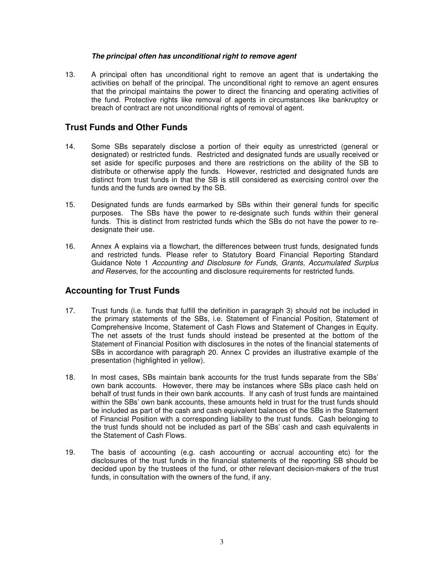#### **The principal often has unconditional right to remove agent**

13. A principal often has unconditional right to remove an agent that is undertaking the activities on behalf of the principal. The unconditional right to remove an agent ensures that the principal maintains the power to direct the financing and operating activities of the fund. Protective rights like removal of agents in circumstances like bankruptcy or breach of contract are not unconditional rights of removal of agent.

### **Trust Funds and Other Funds**

- 14. Some SBs separately disclose a portion of their equity as unrestricted (general or designated) or restricted funds. Restricted and designated funds are usually received or set aside for specific purposes and there are restrictions on the ability of the SB to distribute or otherwise apply the funds. However, restricted and designated funds are distinct from trust funds in that the SB is still considered as exercising control over the funds and the funds are owned by the SB.
- 15. Designated funds are funds earmarked by SBs within their general funds for specific purposes. The SBs have the power to re-designate such funds within their general funds. This is distinct from restricted funds which the SBs do not have the power to redesignate their use.
- 16. Annex A explains via a flowchart, the differences between trust funds, designated funds and restricted funds. Please refer to Statutory Board Financial Reporting Standard Guidance Note 1 Accounting and Disclosure for Funds, Grants, Accumulated Surplus and Reserves, for the accounting and disclosure requirements for restricted funds.

### **Accounting for Trust Funds**

- 17. Trust funds (i.e. funds that fulfill the definition in paragraph 3) should not be included in the primary statements of the SBs, i.e. Statement of Financial Position, Statement of Comprehensive Income, Statement of Cash Flows and Statement of Changes in Equity. The net assets of the trust funds should instead be presented at the bottom of the Statement of Financial Position with disclosures in the notes of the financial statements of SBs in accordance with paragraph 20. Annex C provides an illustrative example of the presentation (highlighted in yellow).
- 18. In most cases, SBs maintain bank accounts for the trust funds separate from the SBs' own bank accounts. However, there may be instances where SBs place cash held on behalf of trust funds in their own bank accounts. If any cash of trust funds are maintained within the SBs' own bank accounts, these amounts held in trust for the trust funds should be included as part of the cash and cash equivalent balances of the SBs in the Statement of Financial Position with a corresponding liability to the trust funds. Cash belonging to the trust funds should not be included as part of the SBs' cash and cash equivalents in the Statement of Cash Flows.
- 19. The basis of accounting (e.g. cash accounting or accrual accounting etc) for the disclosures of the trust funds in the financial statements of the reporting SB should be decided upon by the trustees of the fund, or other relevant decision-makers of the trust funds, in consultation with the owners of the fund, if any.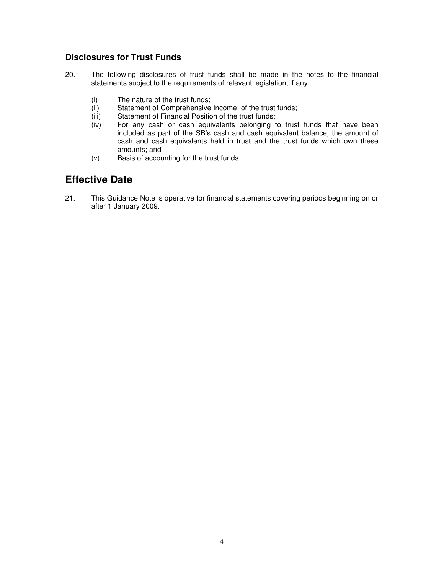### **Disclosures for Trust Funds**

- 20. The following disclosures of trust funds shall be made in the notes to the financial statements subject to the requirements of relevant legislation, if any:
	- (i) The nature of the trust funds;<br>(ii) Statement of Comprehensive
	- Statement of Comprehensive Income of the trust funds;
	- (iii) Statement of Financial Position of the trust funds;
	- (iv) For any cash or cash equivalents belonging to trust funds that have been included as part of the SB's cash and cash equivalent balance, the amount of cash and cash equivalents held in trust and the trust funds which own these amounts; and
	- (v) Basis of accounting for the trust funds.

### **Effective Date**

21. This Guidance Note is operative for financial statements covering periods beginning on or after 1 January 2009.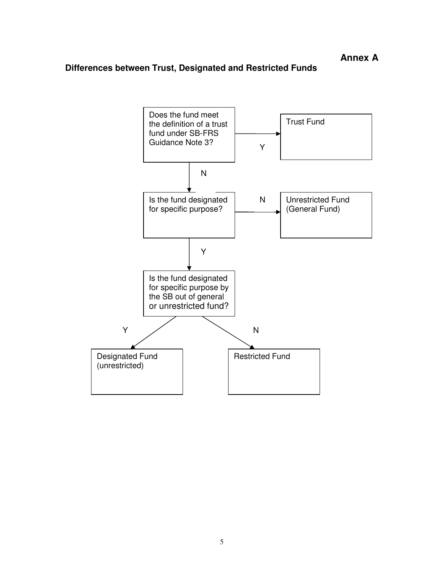### **Differences between Trust, Designated and Restricted Funds**

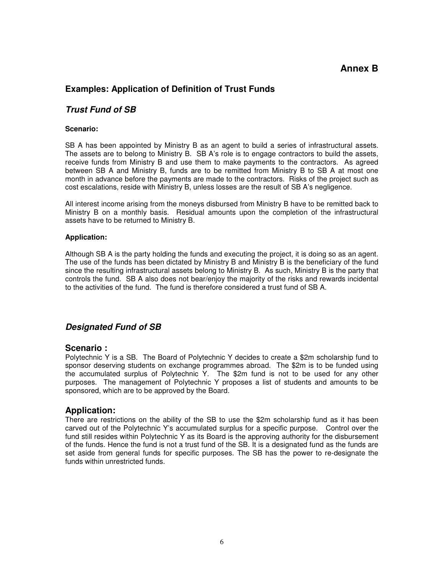### **Annex B**

### **Examples: Application of Definition of Trust Funds**

### **Trust Fund of SB**

#### **Scenario:**

SB A has been appointed by Ministry B as an agent to build a series of infrastructural assets. The assets are to belong to Ministry B. SB A's role is to engage contractors to build the assets, receive funds from Ministry B and use them to make payments to the contractors. As agreed between SB A and Ministry B, funds are to be remitted from Ministry B to SB A at most one month in advance before the payments are made to the contractors. Risks of the project such as cost escalations, reside with Ministry B, unless losses are the result of SB A's negligence.

All interest income arising from the moneys disbursed from Ministry B have to be remitted back to Ministry B on a monthly basis. Residual amounts upon the completion of the infrastructural assets have to be returned to Ministry B.

#### **Application:**

Although SB A is the party holding the funds and executing the project, it is doing so as an agent. The use of the funds has been dictated by Ministry B and Ministry B is the beneficiary of the fund since the resulting infrastructural assets belong to Ministry B. As such, Ministry B is the party that controls the fund. SB A also does not bear/enjoy the majority of the risks and rewards incidental to the activities of the fund. The fund is therefore considered a trust fund of SB A.

#### **Designated Fund of SB**

#### **Scenario :**

Polytechnic Y is a SB. The Board of Polytechnic Y decides to create a \$2m scholarship fund to sponsor deserving students on exchange programmes abroad. The \$2m is to be funded using the accumulated surplus of Polytechnic Y. The \$2m fund is not to be used for any other purposes. The management of Polytechnic Y proposes a list of students and amounts to be sponsored, which are to be approved by the Board.

#### **Application:**

There are restrictions on the ability of the SB to use the \$2m scholarship fund as it has been carved out of the Polytechnic Y's accumulated surplus for a specific purpose. Control over the fund still resides within Polytechnic Y as its Board is the approving authority for the disbursement of the funds. Hence the fund is not a trust fund of the SB. It is a designated fund as the funds are set aside from general funds for specific purposes. The SB has the power to re-designate the funds within unrestricted funds.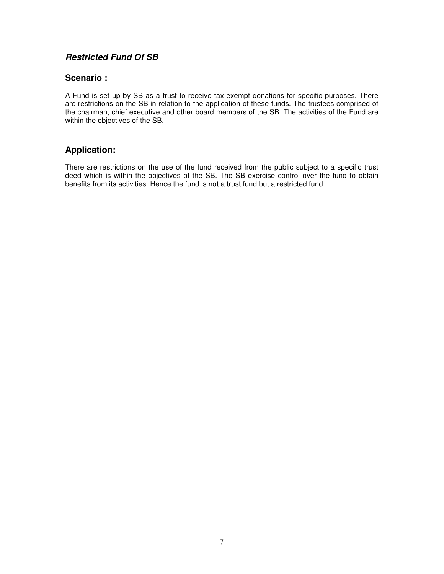### **Restricted Fund Of SB**

### **Scenario :**

A Fund is set up by SB as a trust to receive tax-exempt donations for specific purposes. There are restrictions on the SB in relation to the application of these funds. The trustees comprised of the chairman, chief executive and other board members of the SB. The activities of the Fund are within the objectives of the SB.

### **Application:**

There are restrictions on the use of the fund received from the public subject to a specific trust deed which is within the objectives of the SB. The SB exercise control over the fund to obtain benefits from its activities. Hence the fund is not a trust fund but a restricted fund.